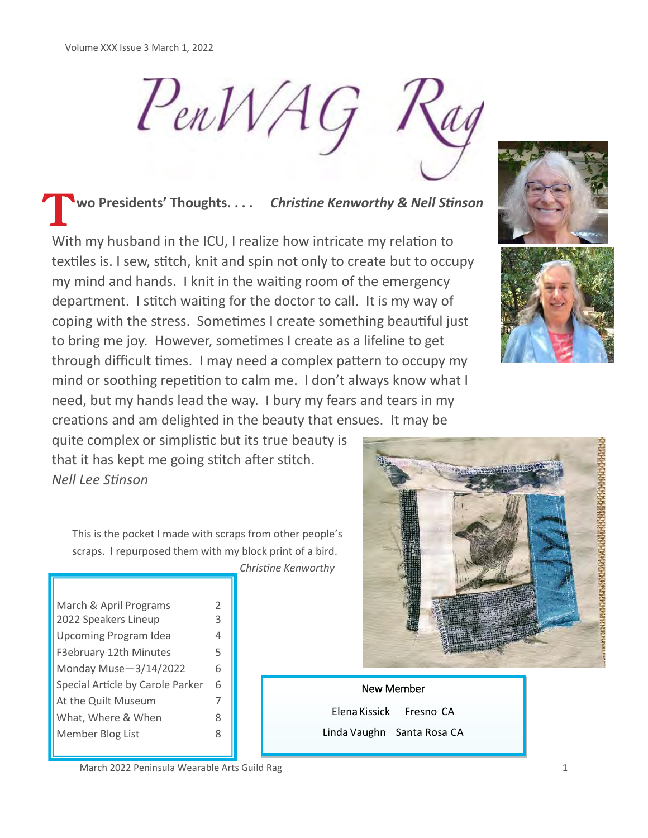PenNAG Ray

*Christine Kenworthy & Nell Stinson* **wo Presidents' Thoughts. . . .**T<sup>w</sup>

With my husband in the ICU, I realize how intricate my relation to textiles is. I sew, stitch, knit and spin not only to create but to occupy my mind and hands. I knit in the waiting room of the emergency department. I stitch waiting for the doctor to call. It is my way of coping with the stress. Sometimes I create something beautiful just to bring me joy. However, sometimes I create as a lifeline to get through difficult times. I may need a complex pattern to occupy my mind or soothing repetition to calm me. I don't always know what I need, but my hands lead the way. I bury my fears and tears in my creations and am delighted in the beauty that ensues. It may be

quite complex or simplistic but its true beauty is that it has kept me going stitch after stitch. *Nell Lee Stinson*



This is the pocket I made with scraps from other people's scraps. I repurposed them with my block print of a bird. *Christine Kenworthy*

March & April Programs 2 2022 Speakers Lineup 3 Upcoming Program Idea 4 F3ebruary 12th Minutes 5 Monday Muse—3/14/2022 6 Special Article by Carole Parker 6 At the Quilt Museum 7 What, Where & When 8 Member Blog List 8



New Member ElenaKissick Fresno CA Linda Vaughn Santa Rosa CA

March 2022 Peninsula Wearable Arts Guild Rag 1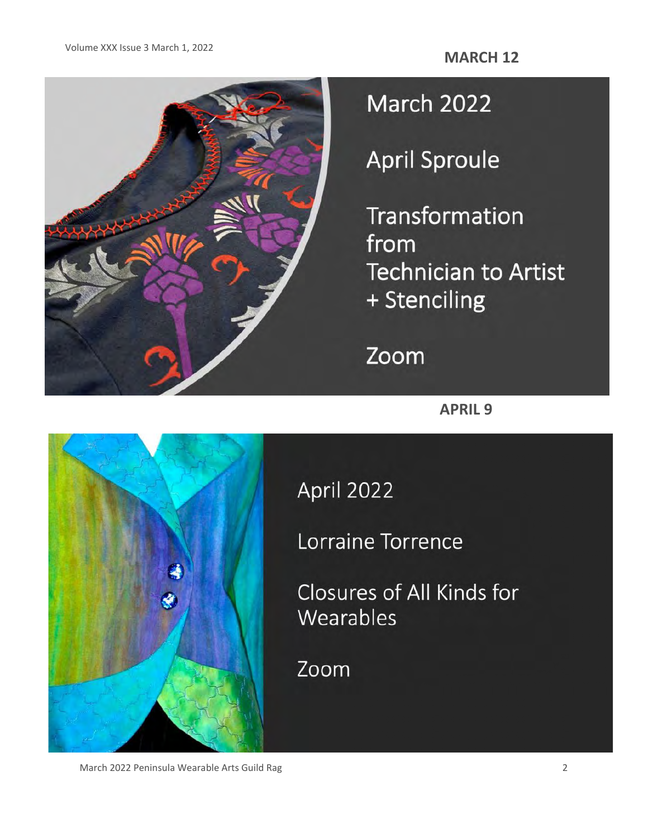### **MARCH 12**



**March 2022** 

**April Sproule** 

Transformation from **Technician to Artist** + Stenciling

Zoom

**APRIL 9**



April 2022

Lorraine Torrence

Closures of All Kinds for Wearables

Zoom

March 2022 Peninsula Wearable Arts Guild Rag 2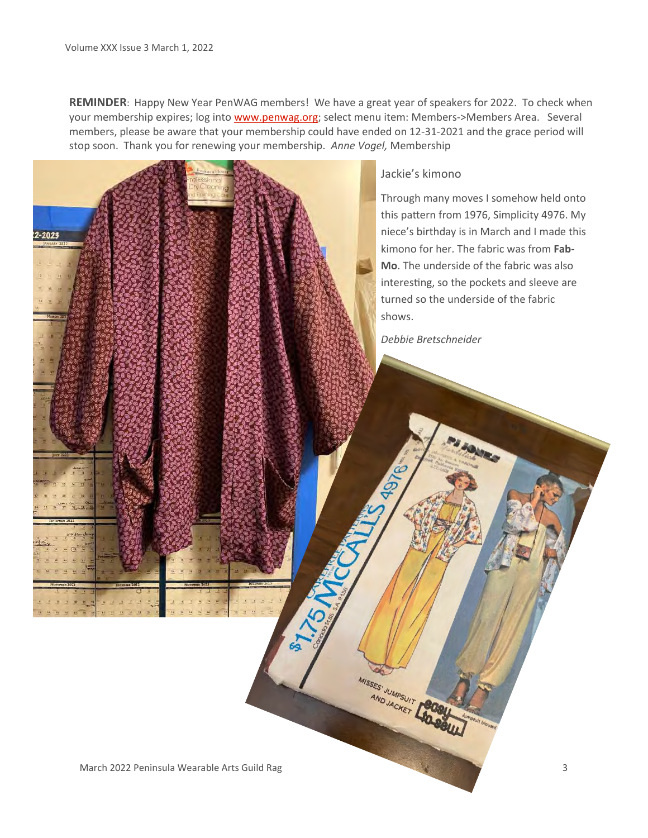$2 - 2023$ 

**REMINDER**: Happy New Year PenWAG members! We have a great year of speakers for 2022. To check when your membership expires; log into [www.penwag.org;](http://www.penwag.org) select menu item: Members->Members Area. Several members, please be aware that your membership could have ended on 12-31-2021 and the grace period will stop soon. Thank you for renewing your membership. *Anne Vogel,* Membership

### Jackie's kimono

Through many moves I somehow held onto this pattern from 1976, Simplicity 4976. My niece's birthday is in March and I made this kimono for her. The fabric was from **Fab-Mo**. The underside of the fabric was also interesting, so the pockets and sleeve are turned so the underside of the fabric shows.

*Debbie Bretschneider*

MISSES JUMPSUIT COM

March 2022 Peninsula Wearable Arts Guild Rag 3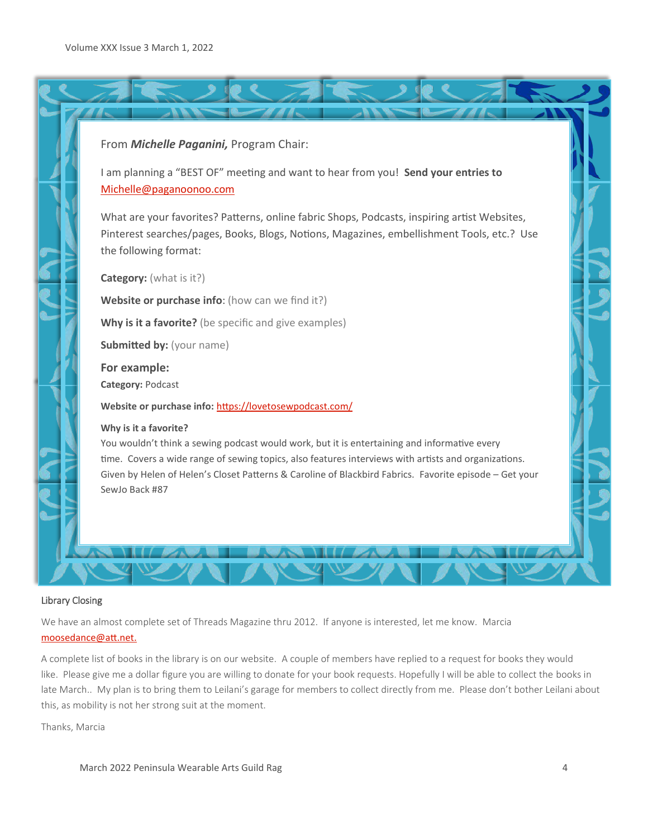

### Library Closing

We have an almost complete set of Threads Magazine thru 2012. If anyone is interested, let me know. Marcia moosedance@att.net.

A complete list of books in the library is on our website. A couple of members have replied to a request for books they would like. Please give me a dollar figure you are willing to donate for your book requests. Hopefully I will be able to collect the books in late March.. My plan is to bring them to Leilani's garage for members to collect directly from me. Please don't bother Leilani about this, as mobility is not her strong suit at the moment.

Thanks, Marcia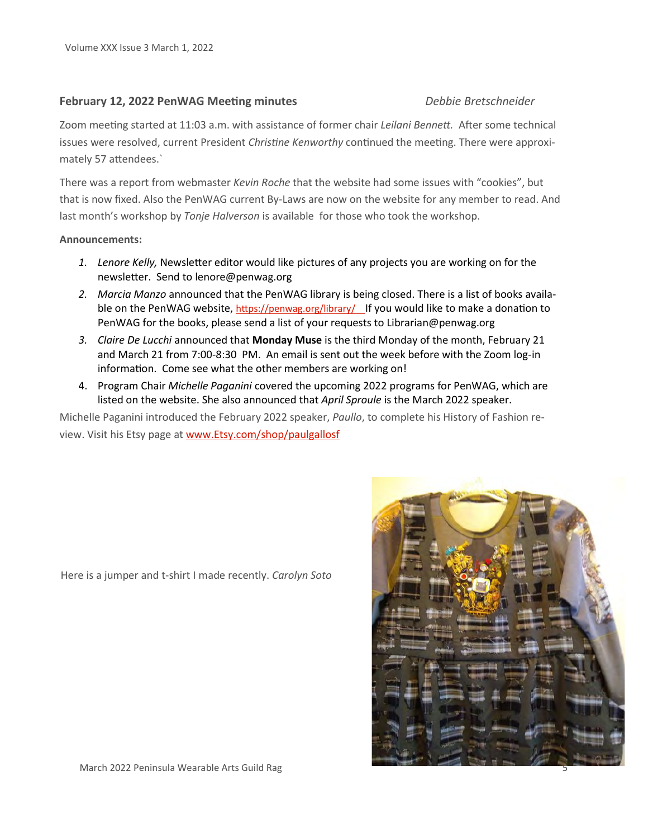### **February 12, 2022 PenWAG Meeting minutes** *Debbie Bretschneider*

Zoom meeting started at 11:03 a.m. with assistance of former chair *Leilani Bennett.* After some technical issues were resolved, current President *Christine Kenworthy* continued the meeting. There were approximately 57 attendees.`

There was a report from webmaster *Kevin Roche* that the website had some issues with "cookies", but that is now fixed. Also the PenWAG current By-Laws are now on the website for any member to read. And last month's workshop by *Tonje Halverson* is available for those who took the workshop.

### **Announcements:**

- *1. Lenore Kelly,* Newsletter editor would like pictures of any projects you are working on for the newsletter. Send to lenore@penwag.org
- *2. Marcia Manzo* announced that the PenWAG library is being closed. There is a list of books available on the PenWAG website, https://penwag.org/library/ If you would like to make a donation to PenWAG for the books, please send a list of your requests to Librarian@penwag.org
- *3. Claire De Lucchi* announced that **Monday Muse** is the third Monday of the month, February 21 and March 21 from 7:00-8:30 PM. An email is sent out the week before with the Zoom log-in information. Come see what the other members are working on!
- 4. Program Chair *Michelle Paganini* covered the upcoming 2022 programs for PenWAG, which are listed on the website. She also announced that *April Sproule* is the March 2022 speaker.

Michelle Paganini introduced the February 2022 speaker, *Paullo*, to complete his History of Fashion review. Visit his Etsy page at www.Etsy.com/shop/paulgallosf

Here is a jumper and t-shirt I made recently. *Carolyn Soto*

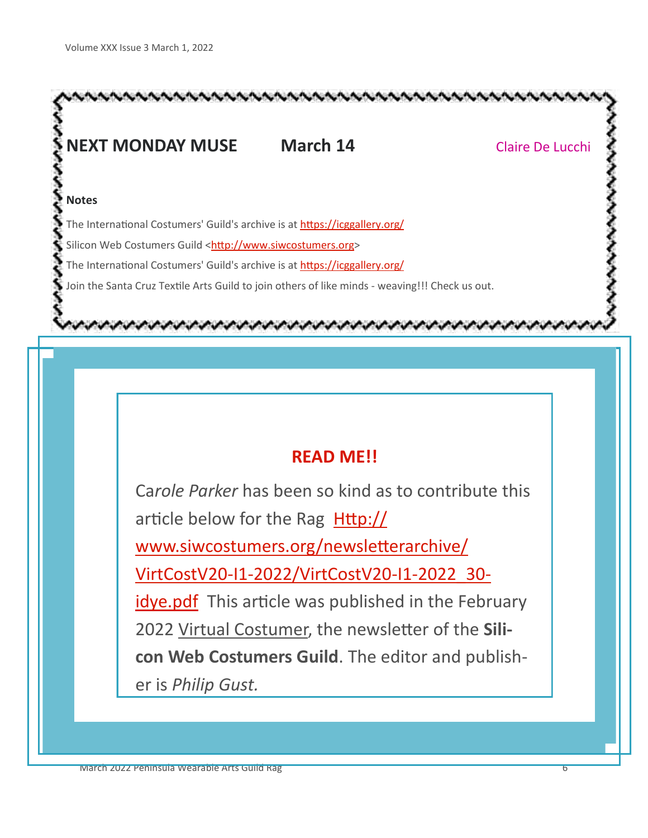## **NEXT MONDAY MUSE** March 14 **Claire De Lucchi**

**ハルヘル・レル・ハルト ハル・ハル・ハル・ハル・ハル** 

### **Notes**

The International Costumers' Guild's archive is at <https://icggallery.org/> Silicon Web Costumers Guild [<http://www.siwcostumers.org>](http://www.siwcostumers.org) The International Costumers' Guild's archive is at <https://icggallery.org/>

Join the Santa Cruz Textile Arts Guild to join others of like minds - weaving!!! Check us out.

## **READ ME!! READ ME!!**

Ca*role Parker* has been so kind as to contribute this Ca*role Parker* has been so kind as to contribute this article below for the Rag Http:// www.siwcostumers.org/newsletterarchive/ www.siwcostumers.org/newsletterarchive/ VirtCostV20-I1-2022/VirtCostV20-I1-2022\_30- VirtCostV20-I1-2022/VirtCostV20-I1-2022\_30 idye.pdf This article was published in the February 2022 Virtual Costumer, the newsletter of the Silicon Web Costumers Guild. The editor and publish-*Philip Gust.* er is *Philip Gust.*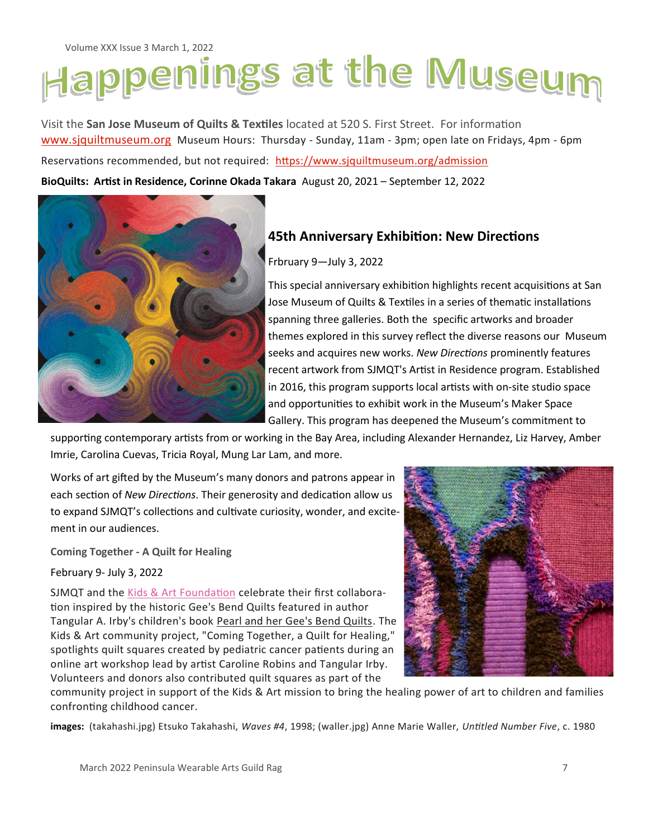Volume XXX Issue 3 March 1, 2022

# Happenings at the Museum

Visit the **San Jose Museum of Quilts & Textiles** located at 520 S. First Street. For information [www.sjquiltmuseum.org](http://www.sjquiltmuseum.org/) Museum Hours: Thursday - Sunday, 11am - 3pm; open late on Fridays, 4pm - 6pm Reservations recommended, but not required: <https://www.sjquiltmuseum.org/admission> **BioQuilts: Artist in Residence, Corinne Okada Takara** August 20, 2021 – September 12, 2022



### **45th Anniversary Exhibition: New Directions**

Frbruary 9—July 3, 2022

This special anniversary exhibition highlights recent acquisitions at San Jose Museum of Quilts & Textiles in a series of thematic installations spanning three galleries. Both the specific artworks and broader themes explored in this survey reflect the diverse reasons our Museum seeks and acquires new works. *New Directions* prominently features recent artwork from SJMQT's Artist in Residence program. Established in 2016, this program supports local artists with on-site studio space and opportunities to exhibit work in the Museum's Maker Space Gallery. This program has deepened the Museum's commitment to

supporting contemporary artists from or working in the Bay Area, including Alexander Hernandez, Liz Harvey, Amber Imrie, Carolina Cuevas, Tricia Royal, Mung Lar Lam, and more.

Works of art gifted by the Museum's many donors and patrons appear in each section of *New Directions*. Their generosity and dedication allow us to expand SJMQT's collections and cultivate curiosity, wonder, and excitement in our audiences.

**Coming Together - A Quilt for Healing**

February 9- July 3, 2022

SJMQT and the [Kids & Art Foundation](http://www.kidsandart.org/) celebrate their first collaboration inspired by the historic Gee's Bend Quilts featured in author Tangular A. Irby's children's book Pearl and her Gee's Bend Quilts. The Kids & Art community project, "Coming Together, a Quilt for Healing," spotlights quilt squares created by pediatric cancer patients during an online art workshop lead by artist Caroline Robins and Tangular Irby. Volunteers and donors also contributed quilt squares as part of the



community project in support of the Kids & Art mission to bring the healing power of art to children and families confronting childhood cancer.

**images:** (takahashi.jpg) Etsuko Takahashi, *Waves #4*, 1998; (waller.jpg) Anne Marie Waller, *Untitled Number Five*, c. 1980